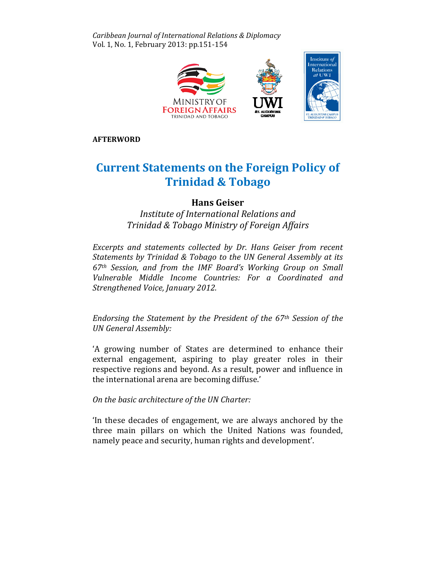Caribbean Journal of International Relations & Diplomacy Vol. 1, No. 1, February 2013: pp.151-154



AFTERWORD

# Current Statements on the Foreign Policy of Trinidad & Tobago &

# Hans Geiser

Institute of International Relations and Trinidad & Tobago Ministry of Foreign Affairs

Excerpts and statements collected by Dr. Hans Geiser from recent Statements by Trinidad & Tobago to the UN General Assembly at its  $67<sup>th</sup>$  Session, and from the IMF Board's Working Group on Small Vulnerable Middle Income Countries: For a Coordinated and Strengthened Voice, January 2012.

Endorsing the Statement by the President of the 67<sup>th</sup> Session of the UN General Assembly:

'A growing number of States are determined to enhance their external engagement, aspiring to play greater roles in their respective regions and beyond. As a result, power and influence in the international arena are becoming diffuse.'

On the basic architecture of the UN Charter: Charter:

In these decades of engagement, we are always anchored by the three main pillars on which the United Nations was founded, namely peace and security, human rights and development'.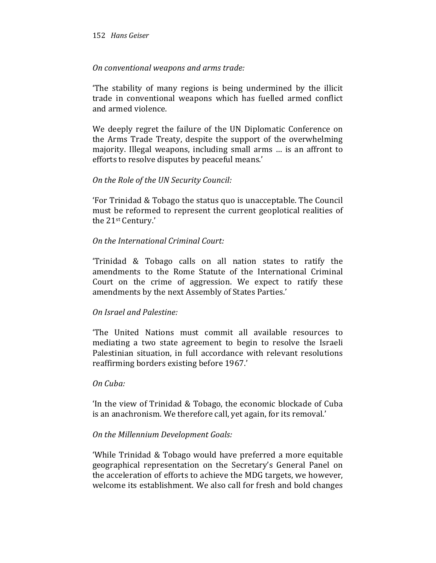#### 152 Hans Geiser

# On conventional weapons and arms trade:

'The stability of many regions is being undermined by the illicit trade in conventional weapons which has fuelled armed conflict and armed violence.

We deeply regret the failure of the UN Diplomatic Conference on the Arms Trade Treaty, despite the support of the overwhelming majority. Illegal weapons, including small arms … is an affront to efforts to resolve disputes by peaceful means.'

# On the Role of the UN Security Council:

'For Trinidad & Tobago the status quo is unacceptable. The Council must be reformed to represent the current geoplotical realities of the 21st Century.'

# On the International Criminal Court:

'Trinidad & Tobago calls on all nation states to ratify the amendments to the Rome Statute of the International Criminal Court on the crime of aggression. We expect to ratify these amendments by the next Assembly of States Parties.'

# On Israel and Palestine:

'The United Nations must commit all available resources to mediating a two state agreement to begin to resolve the Israeli Palestinian situation, in full accordance with relevant resolutions reaffirming borders existing before 1967.'

#### On Cuba:

'In the view of Trinidad & Tobago, the economic blockade of Cuba is an anachronism. We therefore call, yet again, for its removal.'

#### On the Millennium Development Goals:

'While Trinidad & Tobago would have preferred a more equitable geographical representation on the Secretary's General Panel on the acceleration of efforts to achieve the MDG targets, we however, welcome its establishment. We also call for fresh and bold changes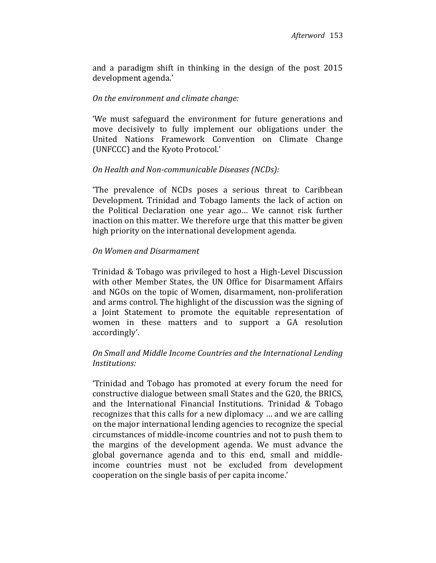and a paradigm shift in thinking in the design of the post 2015 development agenda.'

# On the environment and climate change:

'We must safeguard the environment for future generations and move decisively to fully implement our obligations under the United Nations Framework Convention on Climate Change (UNFCCC) and the Kyoto Protocol.'

# On Health and Non-communicable Diseases (NCDs):

'The prevalence of NCDs poses a serious threat to Caribbean Development. Trinidad and Tobago laments the lack of action on the Political Declaration one year ago… We cannot risk further inaction on this matter. We therefore urge that this matter be given high priority on the international development agenda.

# On Women and Disarmament

Trinidad & Tobago was privileged to host a High-Level Discussion with other Member States, the UN Office for Disarmament Affairs and NGOs on the topic of Women, disarmament, non-proliferation and arms control. The highlight of the discussion was the signing of a Joint Statement to promote the equitable representation of women in these matters and to support a GA resolution accordingly'.

# On Small and Middle Income Countries and the International Lending Institutions:

'Trinidad and Tobago has promoted at every forum the need for constructive dialogue between small States and the G20, the BRICS, and the International Financial Institutions. Trinidad & Tobago recognizes that this calls for a new diplomacy … and we are calling on the major international lending agencies to recognize the special circumstances of middle-income countries and not to push them to the margins of the development agenda. We must advance the global governance agenda and to this end, small and middleincome countries must not be excluded from development cooperation on the single basis of per capita income.'